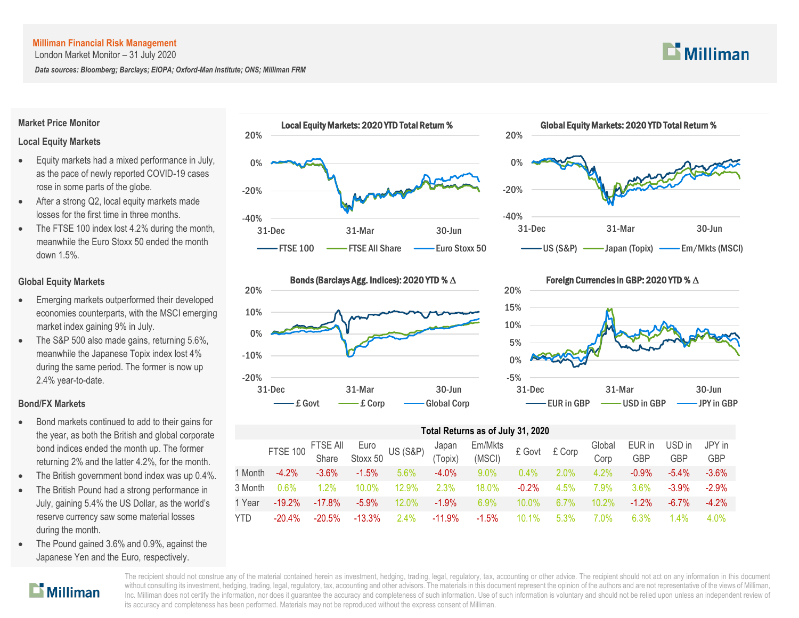London Market Monitor – 31 July 2020

*Data sources: Bloomberg; Barclays; EIOPA; Oxford-Man Institute; ONS; Milliman FRM*

#### **Market Price Monitor**

#### **Local Equity Markets**

- Equity markets had a mixed performance in July, as the pace of newly reported COVID-19 cases rose in some parts of the globe.
- After a strong Q2, local equity markets made losses for the first time in three months.
- The FTSE 100 index lost 4.2% during the month, meanwhile the Euro Stoxx 50 ended the month down 1.5%.

#### **Global Equity Markets**

- Emerging markets outperformed their developed economies counterparts, with the MSCI emerging market index gaining 9% in July.
- The S&P 500 also made gains, returning 5.6%, meanwhile the Japanese Topix index lost 4% during the same period. The former is now up 2.4% year-to-date.

#### **Bond/FX Markets**

 $\mathbf{D}$  Milliman

- Bond markets continued to add to their gains for the year, as both the British and global corporate bond indices ended the month up. The former returning 2% and the latter 4.2%, for the month.
- The British government bond index was up 0.4%.
- The British Pound had a strong performance in July, gaining 5.4% the US Dollar, as the world's reserve currency saw some material losses during the month.
- The Pound gained 3.6% and 0.9%, against the Japanese Yen and the Euro, respectively.







## -5% 0% 5% 10% 15% 20% 31-Dec 31-Mar 30-Jun Foreign Currencies in GBP: 2020 YTD % ∆ - EUR in GBP  $\longrightarrow$  USD in GBP  $\longrightarrow$  JPY in GBP

## **Total Returns as of July 31, 2020**

|         | FTSE 100 FTSE All Euro<br>Share Stoxx 50 US (S&P) (Topix) |           |           |          |           | $Em/Mkts$ £ Govt £ Corp<br>(MSCI) |          |         | Global<br>Corp | EUR in<br><b>GBP</b> | USD in<br><b>GBP</b> | JPY in<br><b>GBP</b> |
|---------|-----------------------------------------------------------|-----------|-----------|----------|-----------|-----------------------------------|----------|---------|----------------|----------------------|----------------------|----------------------|
| 1 Month | $-4.2%$                                                   | $-3.6\%$  | $-1.5\%$  | $5.6\%$  | $-4.0\%$  | $9.0\%$                           | $0.4\%$  | 2.0%    | $4.2\%$        | $-0.9\%$             | $-5.4\%$             | $-3.6\%$             |
| 3 Month | $0.6\%$                                                   | $1.2\%$   | 10.0%     | $12.9\%$ | 2.3%      | 18.0%                             | $-0.2\%$ | 4.5%    | 7.9%           | $3.6\%$              | $-3.9%$              | $-2.9\%$             |
| 1 Year  | $-19.2\%$                                                 | $-17.8\%$ | $-5.9\%$  | $12.0\%$ | $-1.9%$   | 6.9%                              | $10.0\%$ | $6.7\%$ | $10.2\%$       | $-1.2\%$             | $-6.7\%$             | $-4.2\%$             |
| YTD     | $-20.4\%$                                                 | $-20.5%$  | $-13.3\%$ | $2.4\%$  | $-11.9\%$ | $-1.5\%$                          | $10.1\%$ | 5.3%    | 7.0%           | 6.3%                 | $4\%$                | 4.0%                 |

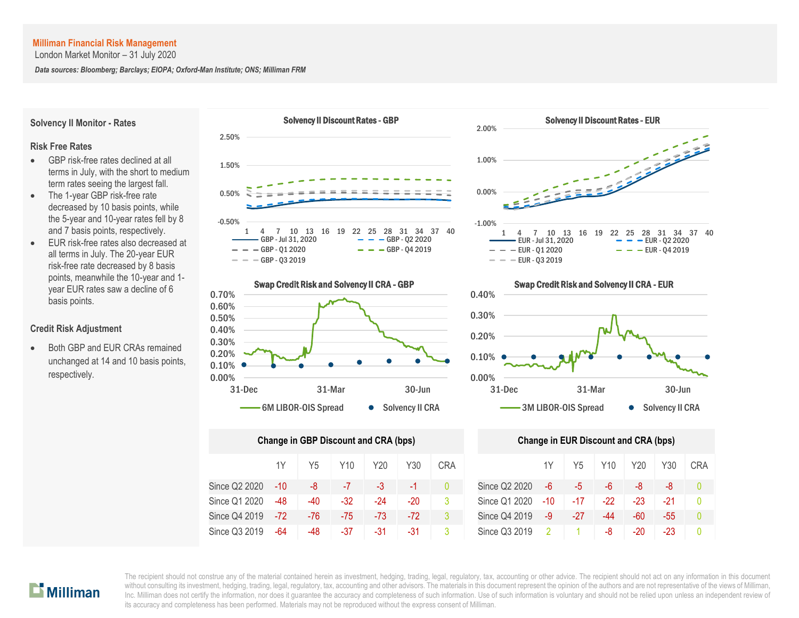London Market Monitor – 31 July 2020

*Data sources: Bloomberg; Barclays; EIOPA; Oxford-Man Institute; ONS; Milliman FRM*





| <b>Change in GBP Discount and CRA (bps)</b> | <b>Change in EUR Discount and CRA (bps)</b> |     |       |       |       |              |               |      |       |     |       |       |    |
|---------------------------------------------|---------------------------------------------|-----|-------|-------|-------|--------------|---------------|------|-------|-----|-------|-------|----|
|                                             | 1Y                                          | Y5  | Y10   | Y20   | Y30   | <b>CRA</b>   |               | 1Y   | Y5    | Y10 | Y20   | Y30   | CR |
| Since Q2 2020                               | -10                                         | -8  |       | -3    | $-1$  | $\mathbf{0}$ | Since Q2 2020 | -6   | -5    | -6  | -8    | -8    | Ω  |
| Since Q1 2020                               | -48                                         | -40 | $-32$ | $-24$ | -20   | 3            | Since Q1 2020 | -10  | $-17$ | -22 | $-23$ | -21   | Ω  |
| Since Q4 2019                               | $-72$                                       | -76 | -75   | $-73$ | $-72$ | 3            | Since Q4 2019 | $-9$ | -27   | -44 | $-60$ | $-55$ | 0  |
| Since Q3 2019                               | -64                                         | -48 | -37   | -31   | -31   | 3            | Since Q3 2019 |      |       | -8  | -20   | -23   | 0  |



![](_page_1_Figure_7.jpeg)

|     | ge in GBP Discount and CRA (bps) |                 |      |       |            | <b>Change in EUR Discount and CRA (bps)</b> |               |       |                 |       |     |            |  |  |
|-----|----------------------------------|-----------------|------|-------|------------|---------------------------------------------|---------------|-------|-----------------|-------|-----|------------|--|--|
| 1Y  | Y <sub>5</sub>                   | Y <sub>10</sub> | Y20  | Y30   | <b>CRA</b> |                                             | 1Y            | Y5    | Y <sub>10</sub> | Y20   | Y30 | <b>CRA</b> |  |  |
| -10 | -8                               | $-7$            | $-3$ | $-1$  |            | Since Q2 2020                               | $-6$          | -5    | -6              | -8    | -8  | $\Omega$   |  |  |
| -48 | -40                              | $-32$           | -24  | -20   | 3          | Since Q1 2020                               | -10           | $-17$ | -22             | $-23$ | -21 |            |  |  |
| -72 | $-76$                            | -75             | -73  | $-72$ |            | Since Q4 2019                               | -9            | -27   | -44             | -60   | -55 |            |  |  |
| -64 | -48                              | $-37$           | -31  | -31   | 3          | Since Q3 2019                               | $\mathcal{P}$ |       | -8              | $-20$ | -23 | $\Omega$   |  |  |

### **Solvency II Monitor - Rates**

#### **Risk Free Rates**

- GBP risk-free rates declined at all terms in July, with the short to medium term rates seeing the largest fall.
- The 1-year GBP risk-free rate decreased by 10 basis points, while the 5-year and 10-year rates fell by 8 and 7 basis points, respectively.
- EUR risk-free rates also decreased at all terms in July. The 20-year EUR risk-free rate decreased by 8 basis points, meanwhile the 10-year and 1 year EUR rates saw a decline of 6 basis points.

#### **Credit Risk Adjustment**

 Both GBP and EUR CRAs remained unchanged at 14 and 10 basis points, respectively.

![](_page_1_Picture_16.jpeg)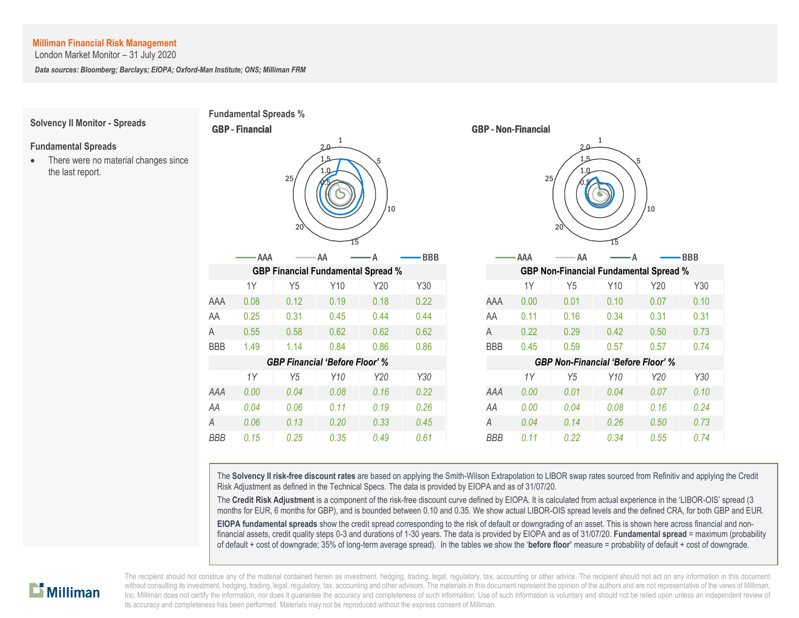London Market Monitor – 31 July 2020

*Data sources: Bloomberg; Barclays; EIOPA; Oxford-Man Institute; ONS; Milliman FRM*

**Fundamental Spreads %**

CBP **Einengiel** 

# **Solvency II Monitor - Spreads**

**Fundamental Spreads** • There were no material changes since the last report.

|            | <b>QDF - Filialivial</b> |                | <b>UDF - NUIL-FIIIAIIUIAI</b>             |         |            |            |                                               |                     |      |         |            |  |  |
|------------|--------------------------|----------------|-------------------------------------------|---------|------------|------------|-----------------------------------------------|---------------------|------|---------|------------|--|--|
|            |                          | 25<br>20       | 1<br>2.0<br>1.5                           | 5<br>10 |            |            |                                               | $2.0 -$<br>25<br>20 | 1    | 5<br>10 |            |  |  |
|            | AAA-                     |                | AA                                        |         | <b>BBB</b> |            | AAA                                           | AA                  |      |         | <b>BBB</b> |  |  |
|            |                          |                | <b>GBP Financial Fundamental Spread %</b> |         |            |            | <b>GBP Non-Financial Fundamental Spread %</b> |                     |      |         |            |  |  |
|            | 1Y                       | Y5             | Y10                                       | Y20     | Y30        |            | 1Y                                            | Y5                  | Y10  | Y20     | Y30        |  |  |
| AAA        | 0.08                     | 0.12           | 0.19                                      | 0.18    | 0.22       | AAA        | 0.00                                          | 0.01                | 0.10 | 0.07    | 0.10       |  |  |
| AA         | 0.25                     | 0.31           | 0.45                                      | 0.44    | 0.44       | AA         | 0.11                                          | 0.16                | 0.34 | 0.31    | 0.31       |  |  |
| A          | 0.55                     | 0.58           | 0.62                                      | 0.62    | 0.62       | Α          | 0.22                                          | 0.29                | 0.42 | 0.50    | 0.73       |  |  |
| <b>BBB</b> | 1.49                     | 1.14           | 0.84                                      | 0.86    | 0.86       | <b>BBB</b> | 0.45                                          | 0.59                | 0.57 | 0.57    | 0.74       |  |  |
|            |                          |                | <b>GBP Financial 'Before Floor' %</b>     |         |            |            | <b>GBP Non-Financial 'Before Floor' %</b>     |                     |      |         |            |  |  |
|            | 1Y                       | Y <sub>5</sub> | Y10                                       | Y20     | Y30        |            | 1Y                                            | Y <sub>5</sub>      | Y10  | Y20     | Y30        |  |  |
| AAA        | 0.00                     | 0.04           | 0.08                                      | 0.16    | 0.22       | AAA        | 0.00                                          | 0.01                | 0.04 | 0.07    | 0.10       |  |  |
| AA         | 0.04                     | 0.06           | 0.11                                      | 0.19    | 0.26       | AA         | 0.00                                          | 0.04                | 0.08 | 0.16    | 0.24       |  |  |
| Α          | 0.06                     | 0.13           | 0.20                                      | 0.33    | 0.45       | A          | 0.04                                          | 0.14                | 0.26 | 0.50    | 0.73       |  |  |
| <b>RRR</b> | 0.15                     | 0.25           | 0.35                                      | 0.49    | 0.61       | <b>RRR</b> | 0.11                                          | 0.22                | 0.34 | 0.55    | 0.74       |  |  |

![](_page_2_Figure_6.jpeg)

The **Solvency II risk-free discount rates** are based on applying the Smith-Wilson Extrapolation to LIBOR swap rates sourced from Refinitiv and applying the Credit Risk Adjustment as defined in the Technical Specs. The data is provided by EIOPA and as of 31/07/20.

The **Credit Risk Adjustment** is a component of the risk-free discount curve defined by EIOPA. It is calculated from actual experience in the 'LIBOR-OIS' spread (3 months for EUR, 6 months for GBP), and is bounded between 0.10 and 0.35. We show actual LIBOR-OIS spread levels and the defined CRA, for both GBP and EUR.

**EIOPA fundamental spreads** show the credit spread corresponding to the risk of default or downgrading of an asset. This is shown here across financial and nonfinancial assets, credit quality steps 0-3 and durations of 1-30 years. The data is provided by EIOPA and as of 31/07/20. **Fundamental spread** = maximum (probability of default + cost of downgrade; 35% of long-term average spread). In the tables we show the '**before floor'** measure = probability of default + cost of downgrade.

![](_page_2_Picture_10.jpeg)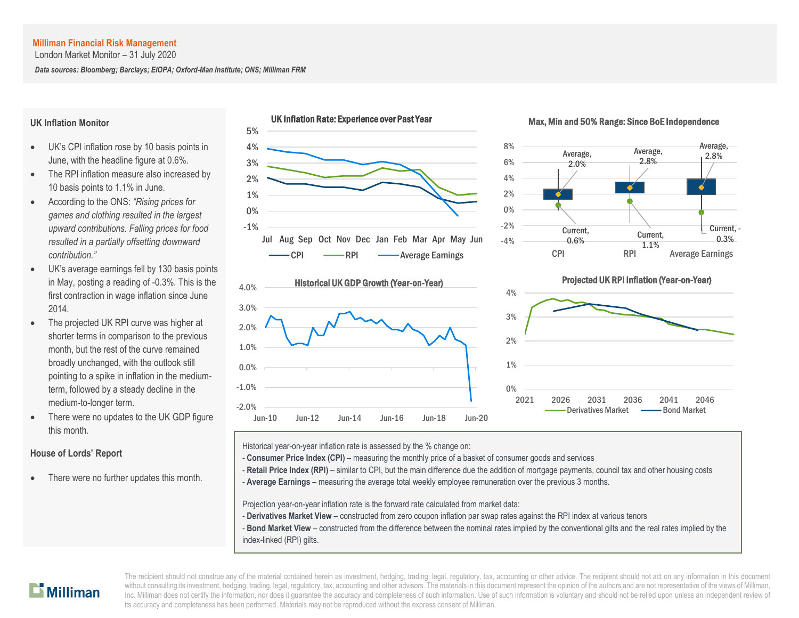London Market Monitor – 31 July 2020

*Data sources: Bloomberg; Barclays; EIOPA; Oxford-Man Institute; ONS; Milliman FRM*

#### **UK Inflation Monitor**

- UK's CPI inflation rose by 10 basis points in June, with the headline figure at 0.6%.
- The RPI inflation measure also increased by 10 basis points to 1.1% in June.
- According to the ONS: *"Rising prices for games and clothing resulted in the largest upward contributions. Falling prices for food resulted in a partially offsetting downward contribution."*
- UK's average earnings fell by 130 basis points in May, posting a reading of -0.3%. This is the first contraction in wage inflation since June 2014.
- The projected UK RPI curve was higher at shorter terms in comparison to the previous month, but the rest of the curve remained broadly unchanged, with the outlook still pointing to a spike in inflation in the mediumterm, followed by a steady decline in the medium-to-longer term.
- There were no updates to the UK GDP figure this month.

#### **House of Lords' Report**

There were no further updates this month.

![](_page_3_Figure_12.jpeg)

![](_page_3_Figure_13.jpeg)

#### Max, Min and 50% Range: Since BoE Independence

![](_page_3_Figure_15.jpeg)

![](_page_3_Figure_16.jpeg)

Historical year-on-year inflation rate is assessed by the % change on:

- **Consumer Price Index (CPI)** measuring the monthly price of a basket of consumer goods and services
- Retail Price Index (RPI) similar to CPI, but the main difference due the addition of mortgage payments, council tax and other housing costs
- A **Average Earnings** measuring the average total weekly employee remuneration over the previous 3 months.

Projection year-on-year inflation rate is the forward rate calculated from market data:

- **Derivatives Market View** constructed from zero coupon inflation par swap rates against the RPI index at various tenors
- **Bond Market View** constructed from the difference between the nominal rates implied by the conventional gilts and the real rates implied by the index-linked (RPI) gilts.

# $\mathbf{D}$  Milliman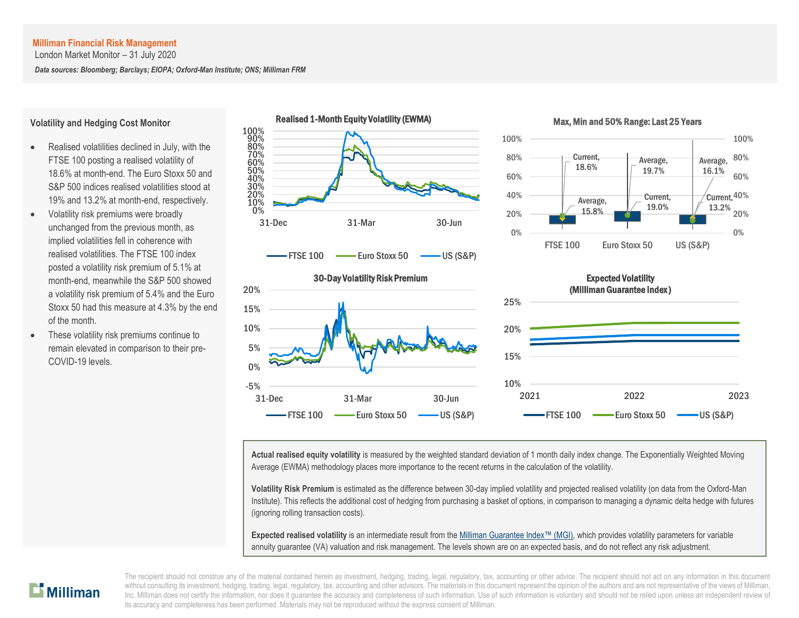London Market Monitor – 31 July 2020

*Data sources: Bloomberg; Barclays; EIOPA; Oxford-Man Institute; ONS; Milliman FRM*

#### **Volatility and Hedging Cost Monitor**

- Realised volatilities declined in July, with the FTSE 100 posting a realised volatility of 18.6% at month-end. The Euro Stoxx 50 and S&P 500 indices realised volatilities stood at 19% and 13.2% at month-end, respectively.
- Volatility risk premiums were broadly unchanged from the previous month, as implied volatilities fell in coherence with realised volatilities. The FTSE 100 index posted a volatility risk premium of 5.1% at month-end, meanwhile the S&P 500 showed a volatility risk premium of 5.4% and the Euro Stoxx 50 had this measure at 4.3% by the end of the month.
- These volatility risk premiums continue to remain elevated in comparison to their pre-COVID-19 levels.

![](_page_4_Figure_7.jpeg)

![](_page_4_Figure_8.jpeg)

![](_page_4_Figure_9.jpeg)

![](_page_4_Figure_10.jpeg)

# 10% 15% 20% 25% 2021 2022 2023 Expected Volatility (Milliman Guarantee Index )  $\overline{F}$ FTSE 100  $\longrightarrow$  Euro Stoxx 50  $\longrightarrow$  US (S&P)

**Actual realised equity volatility** is measured by the weighted standard deviation of 1 month daily index change. The Exponentially Weighted Moving Average (EWMA) methodology places more importance to the recent returns in the calculation of the volatility.

**Volatility Risk Premium** is estimated as the difference between 30-day implied volatility and projected realised volatility (on data from the Oxford-Man Institute). This reflects the additional cost of hedging from purchasing a basket of options, in comparison to managing a dynamic delta hedge with futures (ignoring rolling transaction costs).

**Expected realised volatility** is an intermediate result from th[e Milliman Guarantee Index](http://uk.milliman.com/Solutions/Products/The-Milliman-Guarantee-Index-and-Milliman-Hedge-Cost-Index/)™ (MGI), which provides volatility parameters for variable annuity guarantee (VA) valuation and risk management. The levels shown are on an expected basis, and do not reflect any risk adjustment.

![](_page_4_Picture_15.jpeg)